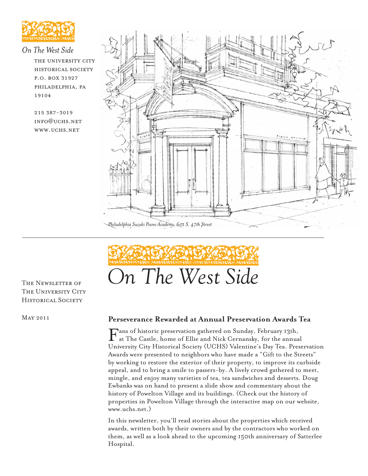

## *On The West Side*

the university city historical society p.o. box 31927 philadelphia, pa 19104

215 387-3019 info@uchs.net www.uchs.net





THE UNIVERSITY CITY HISTORICAL SOCIETY

May 2011

#### **Perseverance Rewarded at Annual Preservation Awards Tea**

Fans of historic preservation gathered on Sunday, February 13th, at The Castle, home of Ellie and Nick Cernansky, for the annual University City Historical Society (UCHS) Valentine's Day Tea. Preservation Awards were presented to neighbors who have made a "Gift to the Streets" by working to restore the exterior of their property, to improve its curbside appeal, and to bring a smile to passers-by. A lively crowd gathered to meet, mingle, and enjoy many varieties of tea, tea sandwiches and desserts. Doug Ewbanks was on hand to present a slide show and commentary about the history of Powelton Village and its buildings. (Check out the history of properties in Powelton Village through the interactive map on our website, www.uchs.net.)

In this newsletter, you'll read stories about the properties which received awards, written both by their owners and by the contractors who worked on them, as well as a look ahead to the upcoming 150th anniversary of Satterlee Hospital.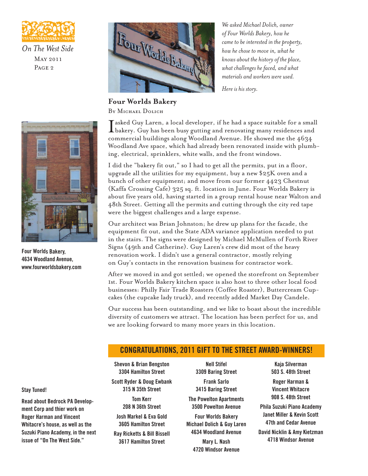

*On The West Side* May 2011 PAGE<sub>2</sub>



**Four Worlds Bakery** By Michael Dolich

*We asked Michael Dolich, owner of Four Worlds Bakery, how he came to be interested in the property, how he chose to move in, what he knows about the history of the place, what challenges he faced, and what materials and workers were used.* 

*Here is his story.*

I bakery. Guy has been busy gutting and renovating many residences and asked Guy Laren, a local developer, if he had a space suitable for a small commercial buildings along Woodland Avenue. He showed me the 4634 Woodland Ave space, which had already been renovated inside with plumbing, electrical, sprinklers, white walls, and the front windows.

I did the "bakery fit out," so I had to get all the permits, put in a floor, upgrade all the utilities for my equipment, buy a new \$25K oven and a bunch of other equipment; and move from our former 4423 Chestnut (Kaffa Crossing Cafe) 325 sq. ft. location in June. Four Worlds Bakery is about five years old, having started in a group rental house near Walton and 48th Street. Getting all the permits and cutting through the city red tape were the biggest challenges and a large expense.

Our architect was Brian Johnston; he drew up plans for the facade, the equipment fit out, and the State ADA variance application needed to put in the stairs. The signs were designed by Michael McMullen of Forth River Signs (49th and Catherine). Guy Laren's crew did most of the heavy renovation work. I didn't use a general contractor, mostly relying on Guy's contacts in the renovation business for contractor work.

After we moved in and got settled; we opened the storefront on September 1st. Four Worlds Bakery kitchen space is also host to three other local food businesses: Philly Fair Trade Roasters (Coffee Roaster), Buttercream Cupcakes (the cupcake lady truck), and recently added Market Day Candele.

Our success has been outstanding, and we like to boast about the incredible diversity of customers we attract. The location has been perfect for us, and we are looking forward to many more years in this location.

# **CONGRATULATIONS, 2011 GIFT TO THE STREET AWARD-WINNERS!**

**Shevon & Brian Bengston 3304 Hamilton Street Scott Ryder & Doug Ewbank 315 N 35th Street Tom Kerr 208 N 36th Street Josh Markel & Eva Gold 3605 Hamilton Street Ray Ricketts & Bill Bissell 3617 Hamilton Street**

**Nell Stifel 3309 Baring Street Frank Sarlo 3415 Baring Street The Powelton Apartments 3500 Powelton Avenue Four Worlds Bakery Michael Dolich & Guy Laren 4634 Woodland Avenue Mary L. Nash 4720 Windsor Avenue**

**Kaja Silverman 503 S. 48th Street Roger Harman & Vincent Whitacre 908 S. 48th Street Phila Suzuki Piano Academy Janet Miller & Kevin Scott 47th and Cedar Avenue David Nicklin & Amy Kietzman 4718 Windsor Avenue**



**Four Worlds Bakery, 4634 Woodland Avenue, www.fourworldsbakery.com**

**Stay Tuned!**

**Read about Bedrock PA Development Corp and thier work on Roger Harman and Vincent Whitacre's house, as well as the Suzuki Piano Academy, in the next issue of "On The West Side."**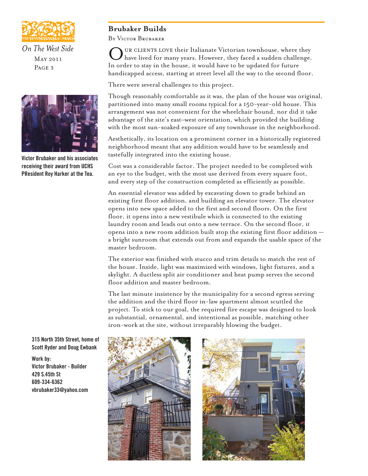

*On The West Side* May 2011 PAGE<sub>3</sub>



**Victor Brubaker and his associates receiving their award from UCHS PResident Roy Harker at the Tea.**

# **Brubaker Builds**

By Victor Brubaker

UR CLIENTS LOVE their Italianate Victorian townhouse, where they have lived for many years. However, they faced a sudden challenge. In order to stay in the house, it would have to be updated for future handicapped access, starting at street level all the way to the second floor.

There were several challenges to this project.

Though reasonably comfortable as it was, the plan of the house was original, partitioned into many small rooms typical for a 150-year-old house. This arrangement was not convenient for the wheelchair bound, nor did it take advantage of the site's east–west orientation, which provided the building with the most sun-soaked exposure of any townhouse in the neighborhood.

Aesthetically, its location on a prominent corner in a historically registered neighborhood meant that any addition would have to be seamlessly and tastefully integrated into the existing house.

Cost was a considerable factor. The project needed to be completed with an eye to the budget, with the most use derived from every square foot, and every step of the construction completed as efficiently as possible.

An essential elevator was added by excavating down to grade behind an existing first floor addition, and building an elevator tower. The elevator opens into new space added to the first and second floors. On the first floor, it opens into a new vestibule which is connected to the existing laundry room and leads out onto a new terrace. On the second floor, it opens into a new room addition built atop the existing first floor addition a bright sunroom that extends out from and expands the usable space of the master bedroom.

The exterior was finished with stucco and trim details to match the rest of the house. Inside, light was maximized with windows, light fixtures, and a skylight. A ductless split air conditioner and heat pump serves the second floor addition and master bedroom.

The last minute insistence by the municipality for a second egress serving the addition and the third floor in-law apartment almost scuttled the project. To stick to our goal, the required fire escape was designed to look as substantial, ornamental, and intentional as possible, matching other iron-work at the site, without irreparably blowing the budget.





**315 North 35th Street, home of Scott Ryder and Doug Ewbank** 

**Work by: Victor Brubaker - Builder 429 S.45th St 609-334-6362 vbrubaker33@yahoo.com**